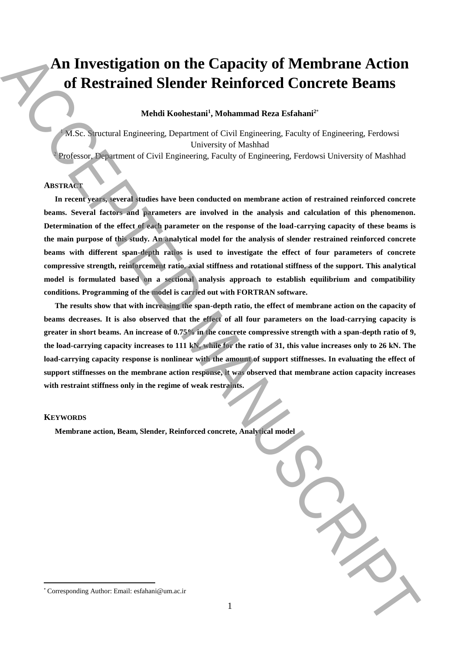# **An Investigation on the Capacity of Membrane Action of Restrained Slender Reinforced Concrete Beams**

# **Mehdi Koohestani<sup>1</sup> , Mohammad Reza Esfahani<sup>2</sup>**\*

<sup>1</sup> M.Sc. Structural Engineering, Department of Civil Engineering, Faculty of Engineering, Ferdowsi University of Mashhad <sup>2</sup> Professor, Department of Civil Engineering, Faculty of Engineering, Ferdowsi University of Mashhad

# **ABSTRACT**

**In recent years, several studies have been conducted on membrane action of restrained reinforced concrete beams. Several factors and parameters are involved in the analysis and calculation of this phenomenon. Determination of the effect of each parameter on the response of the load-carrying capacity of these beams is the main purpose of this study. An analytical model for the analysis of slender restrained reinforced concrete beams with different span-depth ratios is used to investigate the effect of four parameters of concrete compressive strength, reinforcement ratio, axial stiffness and rotational stiffness of the support. This analytical model is formulated based on a sectional analysis approach to establish equilibrium and compatibility conditions. Programming of the model is carried out with FORTRAN software. An Investigation on the Capacity of Membrane Action**<br>
of Restrained Slender Reinforced Concrete Beams<br>
Vehicles Spaceau lagareting, Department of Corresponding Realissing, President Corresponding Corresponding (Engineerin

**The results show that with increasing the span-depth ratio, the effect of membrane action on the capacity of beams decreases. It is also observed that the effect of all four parameters on the load-carrying capacity is greater in short beams. An increase of 0.75% in the concrete compressive strength with a span-depth ratio of 9, the load-carrying capacity increases to 111 kN, while for the ratio of 31, this value increases only to 26 kN. The**  load-carrying capacity response is nonlinear with the amount of support stiffnesses. In evaluating the effect of **support stiffnesses on the membrane action response, it was observed that membrane action capacity increases with restraint stiffness only in the regime of weak restraints.**

### **KEYWORDS**

 $\overline{a}$ 

**Membrane action, Beam, Slender, Reinforced concrete, Analytical no** 

| noaeı |  |  |  |
|-------|--|--|--|
|       |  |  |  |
|       |  |  |  |
|       |  |  |  |
|       |  |  |  |
|       |  |  |  |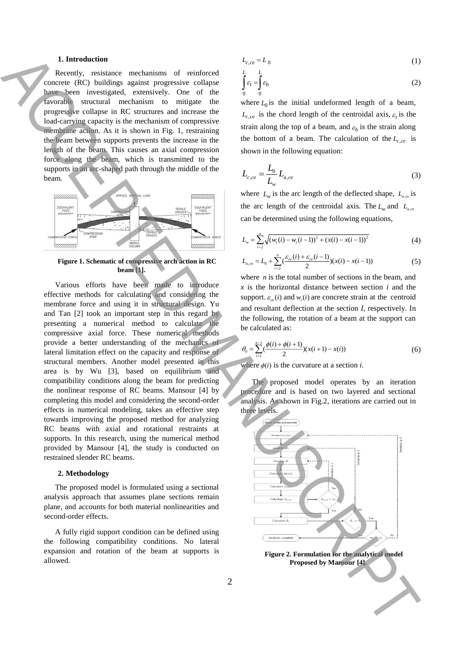# **1. Introduction**

Recently, resistance mechanisms of reinforced concrete (RC) buildings against progressive collapse have been investigated, extensively. One of the favorable structural mechanism to mitigate the progressive collapse in RC structures and increase the load-carrying capacity is the mechanism of compressive membrane action. As it is shown in Fig. 1, restraining the beam between supports prevents the increase in the length of the beam. This causes an axial compression force along the beam, which is transmitted to the supports in an arc-shaped path through the middle of the beam.



### **Figure 1. Schematic of compressive arch action in RC beam [1].**

Various efforts have been made to introduce effective methods for calculating and considering the membrane force and using it in structural design. Yu and Tan [2] took an important step in this regard by presenting a numerical method to calculate the compressive axial force. These numerical methods provide a better understanding of the mechanics of lateral limitation effect on the capacity and response of structural members. Another model presented in this area is by Wu [3], based on equilibrium and compatibility conditions along the beam for predicting the nonlinear response of RC beams. Mansour [4] by completing this model and considering the second-order effects in numerical modeling, takes an effective step towards improving the proposed method for analyzing RC beams with axial and rotational restraints at supports. In this research, using the numerical method provided by Mansour [4], the study is conducted on restrained slender RC beams. **Example the main stress of example the stress of example and the stress of the main stress of the main stress of the stress of the stress of the stress of the stress of the stress of the stress of the stress of the stres** 

#### **2. Methodology**

The proposed model is formulated using a sectional analysis approach that assumes plane sections remain plane, and accounts for both material nonlinearities and second-order effects.

A fully rigid support condition can be defined using the following compatibility conditions. No lateral expansion and rotation of the beam at supports is allowed.

$$
L_{c,ce} = L_0 \tag{1}
$$

$$
\int_{0}^{L} \varepsilon_{t} = \int_{0}^{L} \varepsilon_{b} \tag{2}
$$

where  $L_0$  is the initial undeformed length of a beam,  $L_{c,ce}$  is the chord length of the centroidal axis,  $\varepsilon_t$  is the strain along the top of a beam, and  $\varepsilon_b$  is the strain along the bottom of a beam. The calculation of the  $L_{c,ce}$  is shown in the following equation:

$$
L_{c,ce} = \frac{L_0}{L_w} L_{a,ce}
$$
 (3)

where  $L_w$  is the arc length of the deflected shape,  $L_{a,ce}$  is the arc length of the centroidal axis. The  $L_w$  and  $L_{a,ce}$ can be determined using the following equations,

$$
L_w = \sum_{i=2}^{n} \sqrt{(w_i(i) - w_i(i-1))^2 + (x(i) - x(i-1))^2}
$$
(4)

$$
L_{a,ce} = L_0 + \sum_{i=2}^{n} \left( \frac{\varepsilon_{ce}(i) + \varepsilon_{ce}(i-1)}{2} \right) (x(i) - x(i-1)) \tag{5}
$$

where  $n$  is the total number of sections in the beam, and *x* is the horizontal distance between section *i* and the support.  $\varepsilon_{ce}(i)$  and  $w_{t}(i)$  are concrete strain at the centroid and resultant deflection at the section *I,* respectively. In the following, the rotation of a beam at the support can be calculated as:

$$
\theta_0 = \sum_{i=1}^{n-1} \left(\frac{\phi(i) + \phi(i+1)}{2}\right) (x(i+1) - x(i)) \tag{6}
$$

where  $\phi(i)$  is the curvature at a section *i*.

The proposed model operates by an iteration procedure and is based on two layered and sectional analysis. As shown in Fig.2, iterations are carried out in three levels.



**Figure 2. Formulation for the analytical model Proposed by Mansour [4].**